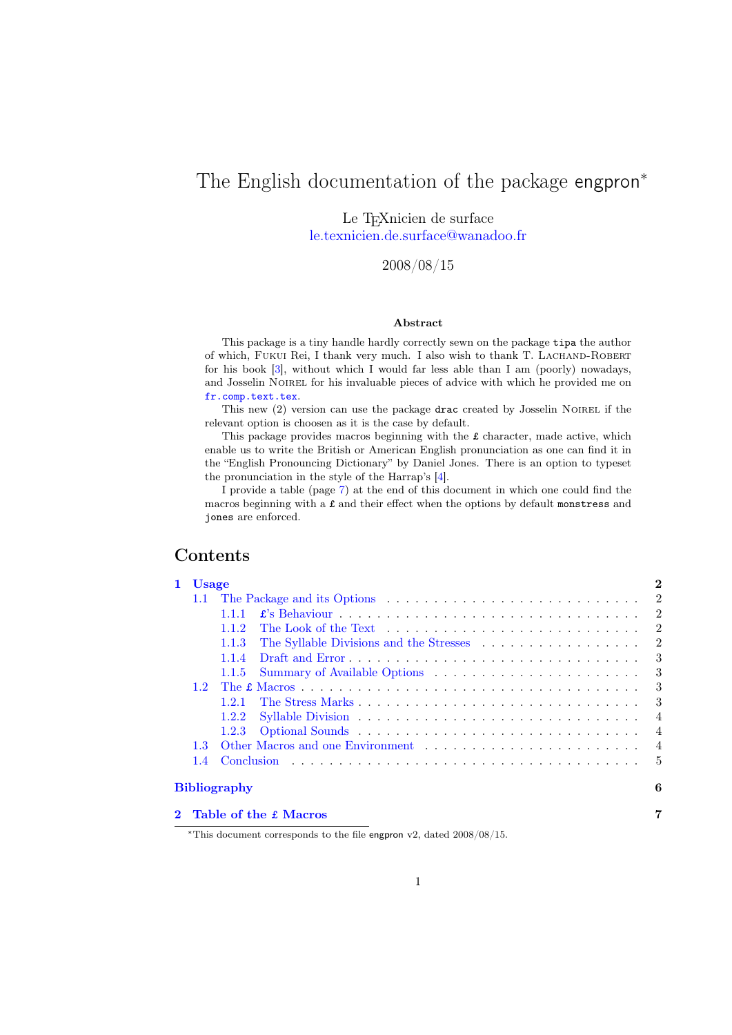# The English documentation of the package engpron<sup>∗</sup>

Le T<sub>E</sub>Xnicien de surface [le.texnicien.de.surface@wanadoo.fr](mailto:le.texnicien.de.surface@wanadoo.fr)

2008/08/15

### Abstract

This package is a tiny handle hardly correctly sewn on the package tipa the author of which, FUKUI Rei, I thank very much. I also wish to thank T. LACHAND-ROBERT for his book [\[3\]](#page-5-0), without which I would far less able than I am (poorly) nowadays, and Josselin NOIREL for his invaluable pieces of advice with which he provided me on <fr.comp.text.tex>.

This new (2) version can use the package drac created by Josselin NOIREL if the relevant option is choosen as it is the case by default.

This package provides macros beginning with the £ character, made active, which enable us to write the British or American English pronunciation as one can find it in the "English Pronouncing Dictionary" by Daniel Jones. There is an option to typeset the pronunciation in the style of the Harrap's [\[4\]](#page-5-1).

I provide a table (page [7\)](#page-6-0) at the end of this document in which one could find the macros beginning with a £ and their effect when the options by default monstress and jones are enforced.

# Contents

| 1 Usage          |                                                                                                    |  |  |  |  |  |  |
|------------------|----------------------------------------------------------------------------------------------------|--|--|--|--|--|--|
|                  |                                                                                                    |  |  |  |  |  |  |
|                  | 1.1.1                                                                                              |  |  |  |  |  |  |
|                  | 1.1.2                                                                                              |  |  |  |  |  |  |
|                  | 1.1.3                                                                                              |  |  |  |  |  |  |
|                  | 1.1.4                                                                                              |  |  |  |  |  |  |
|                  | 1.1.5                                                                                              |  |  |  |  |  |  |
| 1.2              | The £ Macros $\ldots \ldots \ldots \ldots \ldots \ldots \ldots \ldots \ldots \ldots \ldots \ldots$ |  |  |  |  |  |  |
|                  | 121                                                                                                |  |  |  |  |  |  |
|                  | 1.2.2                                                                                              |  |  |  |  |  |  |
|                  | 1.2.3                                                                                              |  |  |  |  |  |  |
| 1.3 <sup>°</sup> |                                                                                                    |  |  |  |  |  |  |
| $1.4^{\circ}$    |                                                                                                    |  |  |  |  |  |  |
|                  | <b>Bibliography</b>                                                                                |  |  |  |  |  |  |
|                  | 2 Table of the £ Macros                                                                            |  |  |  |  |  |  |

<sup>∗</sup>This document corresponds to the file engpron v2, dated 2008/08/15.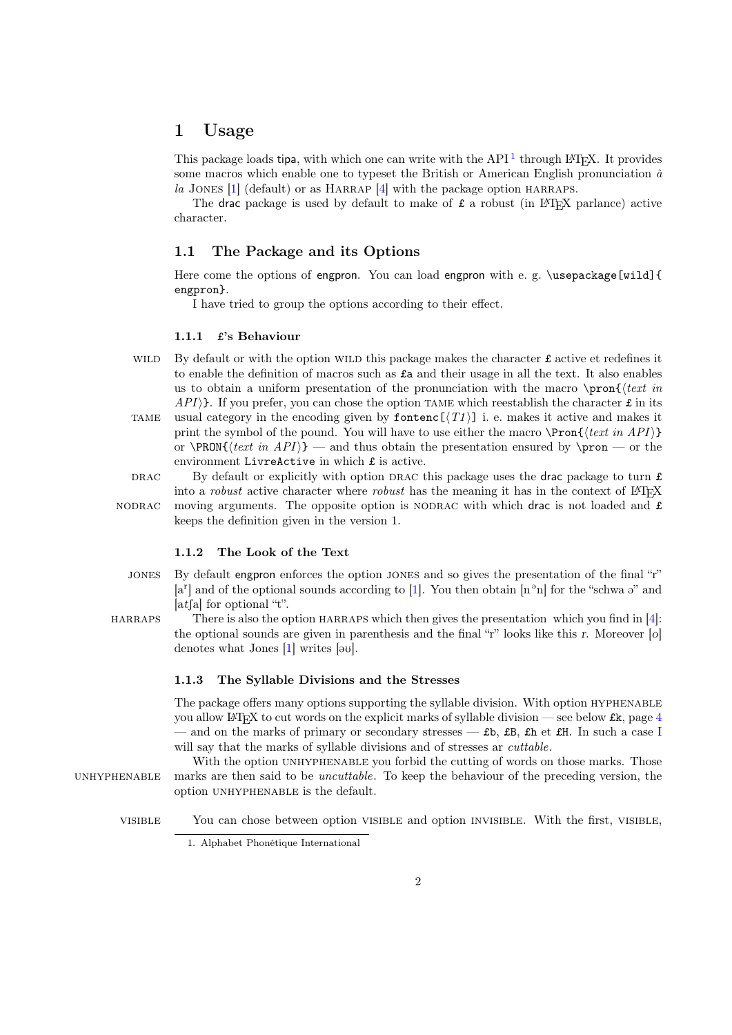# <span id="page-1-6"></span><span id="page-1-0"></span>1 Usage

This package loads tipa, with which one can write with the API<sup>[1](#page-1-5)</sup> through L<sup>AT</sup>EX. It provides some macros which enable one to typeset the British or American English pronunciation  $\dot{a}$ la JONES  $[1]$  (default) or as HARRAP  $[4]$  with the package option HARRAPS.

The drac package is used by default to make of  $\pounds$  a robust (in LAT<sub>EX</sub> parlance) active character.

# <span id="page-1-1"></span>1.1 The Package and its Options

Here come the options of engpron. You can load engpron with e. g. \usepackage[wild]{ engpron}.

I have tried to group the options according to their effect.

### <span id="page-1-2"></span>1.1.1 £'s Behaviour

WILD By default or with the option WILD this package makes the character  $\mathbf f$  active et redefines it to enable the definition of macros such as £a and their usage in all the text. It also enables us to obtain a uniform presentation of the pronunciation with the macro  $\prod_{text in}$  $API$ ). If you prefer, you can chose the option TAME which reestablish the character  $\pounds$  in its TAME usual category in the encoding given by fontenc  $[\langle T1 \rangle]$  i. e. makes it active and makes it print the symbol of the pound. You will have to use either the macro  $\P{ron{\texttt{text}}\{next in API\}}$ or  $\PRON{\text{int} API}\$  — and thus obtain the presentation ensured by  $\pron$  — or the environment LivreActive in which £ is active.

DRAC By default or explicitly with option DRAC this package uses the drac package to turn  $\pounds$ into a *robust* active character where *robust* has the meaning it has in the context of  $LAT$ <sub>F</sub>X

NODRAC moving arguments. The opposite option is NODRAC with which drac is not loaded and  $\pounds$ 

## <span id="page-1-3"></span>1.1.2 The Look of the Text

keeps the definition given in the version 1.

- jones By default engpron enforces the option jones and so gives the presentation of the final "r"  $[a^r]$  and of the optional sounds according to [\[1\]](#page-5-3). You then obtain  $[n^{\circ}n]$  for the "schwa  $\vartheta$ " and [at fall for optional "t".
- HARRAPS There is also the option HARRAPS which then gives the presentation which you find in  $[4]$ : the optional sounds are given in parenthesis and the final "r" looks like this r. Moreover [o] denotes what Jones  $[1]$  writes  $[\infty]$ .

## <span id="page-1-4"></span>1.1.3 The Syllable Divisions and the Stresses

The package offers many options supporting the syllable division. With option HYPHENABLE you allow LATEX to cut words on the explicit marks of syllable division — see below £k, page [4](#page-3-0) — and on the marks of primary or secondary stresses —  $\texttt{fb}$ ,  $\texttt{EB}$ ,  $\texttt{fh}$  et  $\texttt{EH}$ . In such a case I will say that the marks of syllable divisions and of stresses ar *cuttable*.

With the option UNHYPHENABLE you forbid the cutting of words on those marks. Those UNHYPHENABLE marks are then said to be *uncuttable*. To keep the behaviour of the preceding version, the option UNHYPHENABLE is the default.

visible You can chose between option visible and option invisible. With the first, visible,

<span id="page-1-5"></span><sup>1.</sup> Alphabet Phonétique International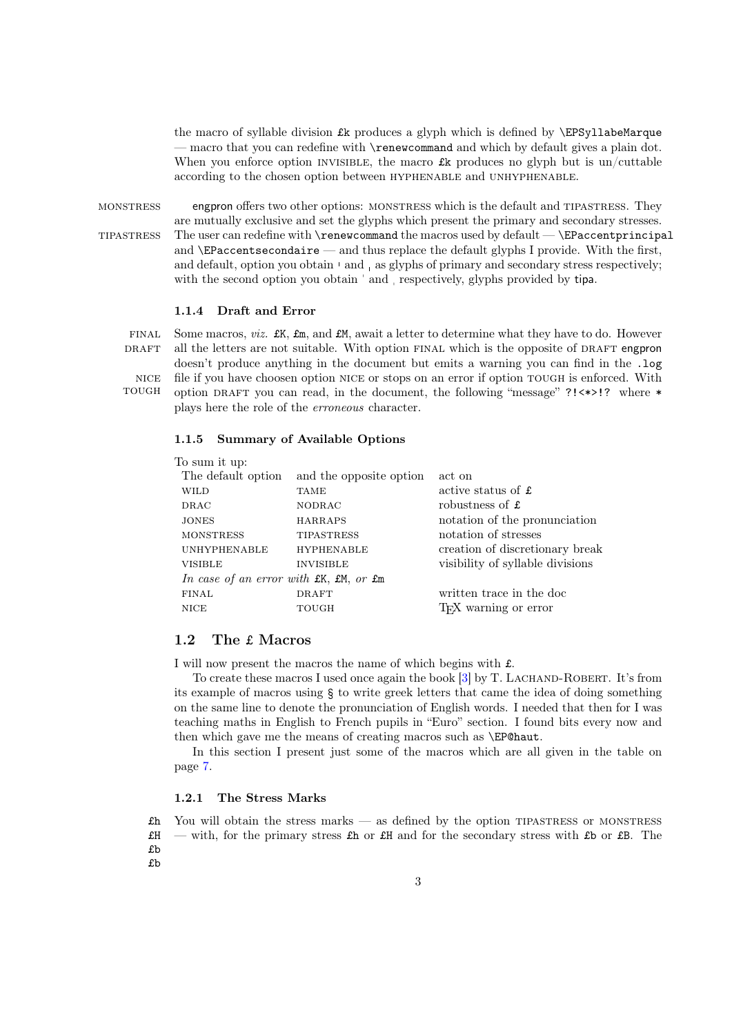<span id="page-2-4"></span>the macro of syllable division  $\pounds k$  produces a glyph which is defined by  $\Epsilon$ PSyllabeMarque — macro that you can redefine with \renewcommand and which by default gives a plain dot. When you enforce option INVISIBLE, the macro  $\pounds$ k produces no glyph but is un/cuttable according to the chosen option between hyphenable and unhyphenable.

monstress engpron offers two other options: monstress which is the default and tipastress. They are mutually exclusive and set the glyphs which present the primary and secondary stresses.  $The user can redefine with \verb|\renewcommand| the macros used by default — \verb|\Encentprincipal|$ and  $\Epsilon$  accentsecondaire — and thus replace the default glyphs I provide. With the first, and default, option you obtain  $\lceil$  and  $\rceil$  as glyphs of primary and secondary stress respectively; with the second option you obtain ' and , respectively, glyphs provided by tipa.

#### <span id="page-2-0"></span>1.1.4 Draft and Error

FINAL Some macros, *viz.*  $\mathbf{f}K$ ,  $\mathbf{f}m$ , and  $\mathbf{f}M$ , await a letter to determine what they have to do. However DRAFT all the letters are not suitable. With option FINAL which is the opposite of DRAFT engpron doesn't produce anything in the document but emits a warning you can find in the .log nice file if you have choosen option nice or stops on an error if option tough is enforced. With tough option draft you can read, in the document, the following "message" ?!<\*>!? where \* plays here the role of the erroneous character.

## <span id="page-2-1"></span>1.1.5 Summary of Available Options

| To sum it up:                          |                         |                                   |  |  |  |  |  |  |  |  |
|----------------------------------------|-------------------------|-----------------------------------|--|--|--|--|--|--|--|--|
| The default option                     | and the opposite option | act on                            |  |  |  |  |  |  |  |  |
| <b>WILD</b>                            | <b>TAME</b>             | active status of £                |  |  |  |  |  |  |  |  |
| <b>DRAC</b>                            | <b>NODRAC</b>           | robustness of £                   |  |  |  |  |  |  |  |  |
| <b>JONES</b>                           | <b>HARRAPS</b>          | notation of the pronunciation     |  |  |  |  |  |  |  |  |
| <b>MONSTRESS</b>                       | <b>TIPASTRESS</b>       | notation of stresses              |  |  |  |  |  |  |  |  |
| <b>UNHYPHENABLE</b>                    | <b>HYPHENABLE</b>       | creation of discretionary break   |  |  |  |  |  |  |  |  |
| <b>VISIBLE</b>                         | <b>INVISIBLE</b>        | visibility of syllable divisions  |  |  |  |  |  |  |  |  |
| In case of an error with £K, £M, or £m |                         |                                   |  |  |  |  |  |  |  |  |
| FINAL                                  | <b>DRAFT</b>            | written trace in the doc          |  |  |  |  |  |  |  |  |
| <b>NICE</b>                            | TOUGH                   | T <sub>F</sub> X warning or error |  |  |  |  |  |  |  |  |
|                                        |                         |                                   |  |  |  |  |  |  |  |  |

# <span id="page-2-2"></span>1.2 The £ Macros

I will now present the macros the name of which begins with £.

To create these macros I used once again the book [\[3\]](#page-5-0) by T. Lachand-Robert. It's from its example of macros using § to write greek letters that came the idea of doing something on the same line to denote the pronunciation of English words. I needed that then for I was teaching maths in English to French pupils in "Euro" section. I found bits every now and then which gave me the means of creating macros such as \EP@haut.

In this section I present just some of the macros which are all given in the table on page [7.](#page-6-0)

## <span id="page-2-3"></span>1.2.1 The Stress Marks

 $£h$  You will obtain the stress marks — as defined by the option TIPASTRESS or MONSTRESS  $\pounds$ H — with, for the primary stress  $\pounds$ h or  $\pounds$ H and for the secondary stress with  $\pounds$ b or  $\pounds$ B. The £b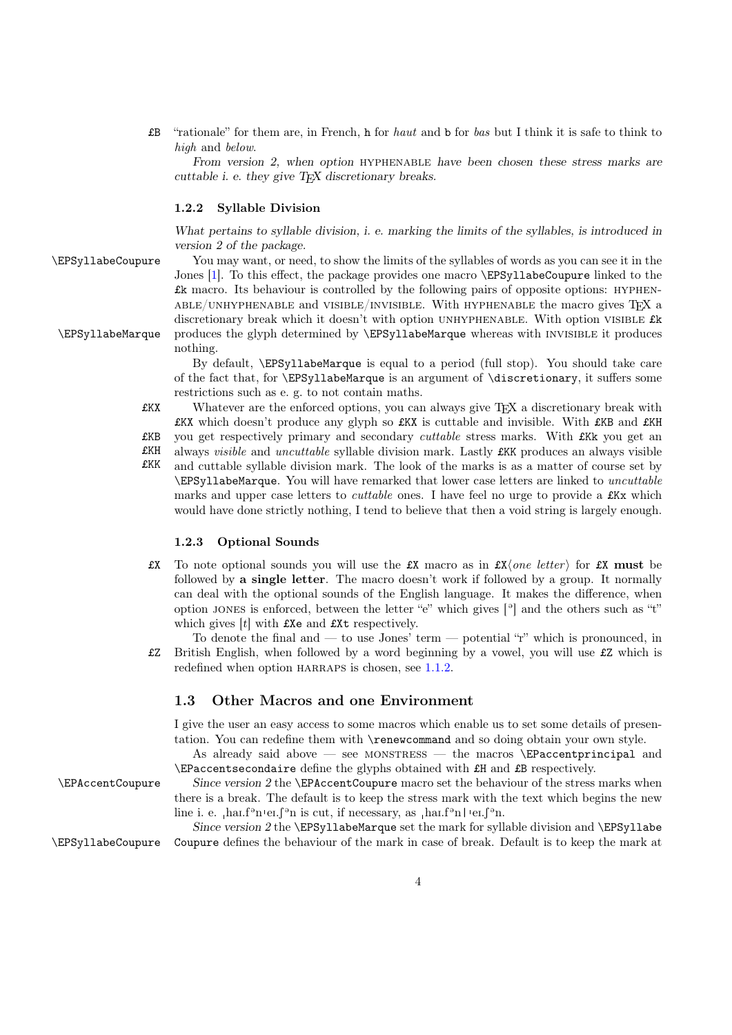<span id="page-3-3"></span>£B "rationale" for them are, in French, h for haut and b for bas but I think it is safe to think to high and below.

From version 2, when option hyphenable have been chosen these stress marks are cuttable i. e. they give  $T_F X$  discretionary breaks.

# <span id="page-3-0"></span>1.2.2 Syllable Division

What pertains to syllable division, i. e. marking the limits of the syllables, is introduced in version 2 of the package.

\EPSyllabeCoupure You may want, or need, to show the limits of the syllables of words as you can see it in the Jones [\[1\]](#page-5-3). To this effect, the package provides one macro \EPSyllabeCoupure linked to the £k macro. Its behaviour is controlled by the following pairs of opposite options: hyphen- $ABLE/UNHYPHENABLE$  and  $VISIBLE/INVISIBLE$ . With HYPHENABLE the macro gives T<sub>E</sub>X a discretionary break which it doesn't with option UNHYPHENABLE. With option VISIBLE  $E$ k \EPSyllabeMarque produces the glyph determined by \EPSyllabeMarque whereas with invisible it produces nothing.

> By default, \EPSyllabeMarque is equal to a period (full stop). You should take care of the fact that, for \EPSyllabeMarque is an argument of \discretionary, it suffers some restrictions such as e. g. to not contain maths.

£KX Whatever are the enforced options, you can always give TEX a discretionary break with £KX which doesn't produce any glyph so £KX is cuttable and invisible. With £KB and £KH £KB you get respectively primary and secondary cuttable stress marks. With £Kk you get an £KH always visible and uncuttable syllable division mark. Lastly £KK produces an always visible

£KK and cuttable syllable division mark. The look of the marks is as a matter of course set by \EPSyllabeMarque. You will have remarked that lower case letters are linked to uncuttable marks and upper case letters to *cuttable* ones. I have feel no urge to provide a **£Kx** which would have done strictly nothing, I tend to believe that then a void string is largely enough.

## <span id="page-3-1"></span>1.2.3 Optional Sounds

**£X** To note optional sounds you will use the **£X** macro as in  $\mathbf{f}(\mathbf{x})$  for  $\mathbf{f}(\mathbf{x})$  must be followed by a single letter. The macro doesn't work if followed by a group. It normally can deal with the optional sounds of the English language. It makes the difference, when option JONES is enforced, between the letter "e" which gives  $\lceil \cdot \rceil$  and the others such as "t" which gives  $[t]$  with  $\pounds Xe$  and  $\pounds Xt$  respectively.

To denote the final and — to use Jones' term — potential " $r$ " which is pronounced, in £Z British English, when followed by a word beginning by a vowel, you will use £Z which is redefined when option HARRAPS is chosen, see  $1.1.2$ .

# <span id="page-3-2"></span>1.3 Other Macros and one Environment

I give the user an easy access to some macros which enable us to set some details of presentation. You can redefine them with \renewcommand and so doing obtain your own style.

As already said above — see MONSTRESS — the macros  $\E$ Paccentprincipal and \EPaccentsecondaire define the glyphs obtained with £H and £B respectively.

\EPAccentCoupure Since version 2 the \EPAccentCoupure macro set the behaviour of the stress marks when there is a break. The default is to keep the stress mark with the text which begins the new line i. e.  $_{1}$ hai.f<sup>3</sup>n <sup>i</sup>er. $\int$ <sup>3</sup>n is cut, if necessary, as  $_{1}$ hai.f<sup>3</sup>n | <sup>1</sup>er. $\int$ <sup>3</sup>n.

Since version 2 the  $\EPSy11ab$ eMarque set the mark for syllable division and  $\EPSy11ab$ e \EPSyllabeCoupure Coupure defines the behaviour of the mark in case of break. Default is to keep the mark at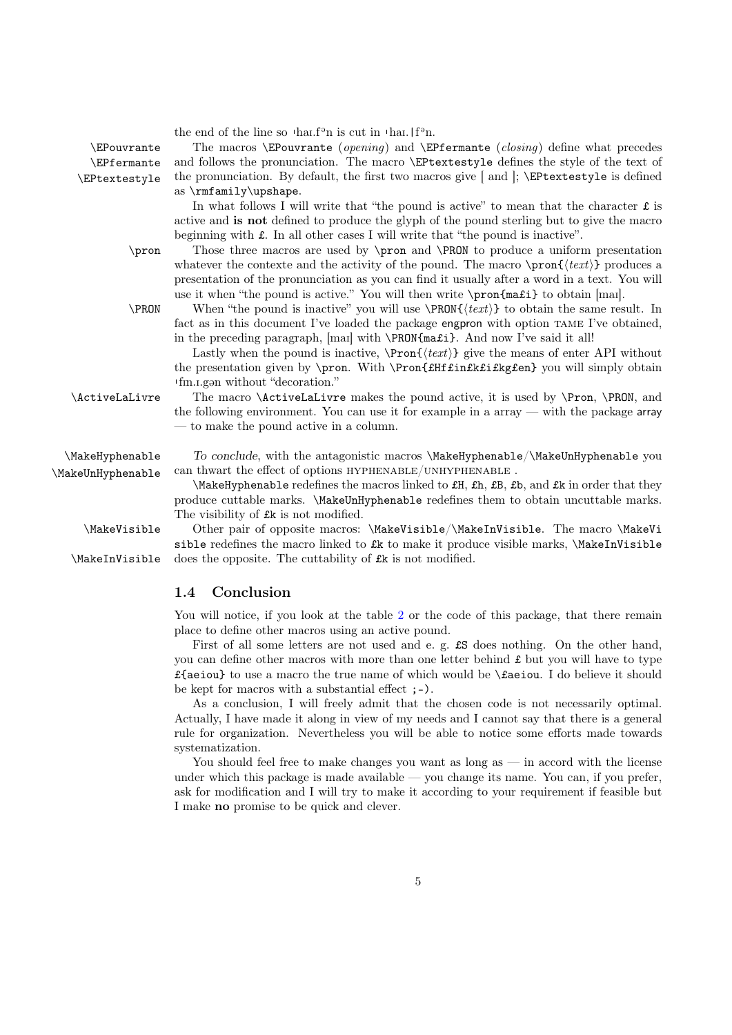<span id="page-4-1"></span>

| <b>\EPouvrante</b><br><b>\EPfermante</b><br>\EPtextestyle | the end of the line so $\text{that} \mathbf{f}^{\circ}$ is cut in $\text{that} \mathbf{f}^{\circ}$ n.<br>The macros \EPouvrante (opening) and \EPfermante (closing) define what precedes<br>and follows the pronunciation. The macro \EPtextestyle defines the style of the text of<br>the pronunciation. By default, the first two macros give $[$ and $]$ ; $\triangle$ EPtextestyle is defined<br>as $\rm\{m\,ly\uparrow\$                                                             |
|-----------------------------------------------------------|-------------------------------------------------------------------------------------------------------------------------------------------------------------------------------------------------------------------------------------------------------------------------------------------------------------------------------------------------------------------------------------------------------------------------------------------------------------------------------------------|
| $\gamma$                                                  | In what follows I will write that "the pound is active" to mean that the character $\hat{\mathbf{r}}$ is<br>active and is not defined to produce the glyph of the pound sterling but to give the macro<br>beginning with $\pounds$ . In all other cases I will write that "the pound is inactive".<br>Those three macros are used by \pron and \PRON to produce a uniform presentation<br>whatever the contexte and the activity of the pound. The macro $\prod_{\text{text}}$ produces a |
| \PRON                                                     | presentation of the pronunciation as you can find it usually after a word in a text. You will<br>use it when "the pound is active." You will then write \pron{ma£i} to obtain [mai].<br>When "the pound is inactive" you will use $\PRON\{\text{text}\}\$ to obtain the same result. In<br>fact as in this document I've loaded the package engpron with option TAME I've obtained,<br>in the preceding paragraph, [mai] with <b>\PRON{ma£i}</b> . And now I've said it all!              |
| \ActiveLaLivre                                            | Lastly when the pound is inactive, $\Pron{\text{text}}$ give the means of enter API without<br>the presentation given by \pron. With \Pron{fHffinfkfifkgfen} you will simply obtain<br>'fin.i.gan without "decoration."<br>The macro \ActiveLaLivre makes the pound active, it is used by \Pron, \PRON, and<br>the following environment. You can use it for example in a array $-$ with the package array<br>— to make the pound active in a column.                                     |
| \MakeHyphenable<br>\MakeUnHyphenable                      | To conclude, with the antagonistic macros \MakeHyphenable/\MakeUnHyphenable you<br>can thwart the effect of options HYPHENABLE/UNHYPHENABLE.<br>\MakeHyphenable redefines the macros linked to £H, £h, £B, £b, and £k in order that they<br>produce cuttable marks. \MakeUnHyphenable redefines them to obtain uncuttable marks.                                                                                                                                                          |
| \MakeVisible<br>\MakeInVisible                            | The visibility of £k is not modified.<br>Other pair of opposite macros: \MakeVisible/\MakeInVisible. The macro \MakeVi<br>sible redefines the macro linked to £k to make it produce visible marks, \MakeInVisible<br>does the opposite. The cuttability of £k is not modified.                                                                                                                                                                                                            |

# <span id="page-4-0"></span>1.4 Conclusion

You will notice, if you look at the table [2](#page-6-0) or the code of this package, that there remain place to define other macros using an active pound.

First of all some letters are not used and e. g. £S does nothing. On the other hand, you can define other macros with more than one letter behind  $\pounds$  but you will have to type £{aeiou} to use a macro the true name of which would be  $\lambda$ £aeiou. I do believe it should be kept for macros with a substantial effect ;-).

As a conclusion, I will freely admit that the chosen code is not necessarily optimal. Actually, I have made it along in view of my needs and I cannot say that there is a general rule for organization. Nevertheless you will be able to notice some efforts made towards systematization.

You should feel free to make changes you want as long as — in accord with the license under which this package is made available — you change its name. You can, if you prefer, ask for modification and I will try to make it according to your requirement if feasible but I make no promise to be quick and clever.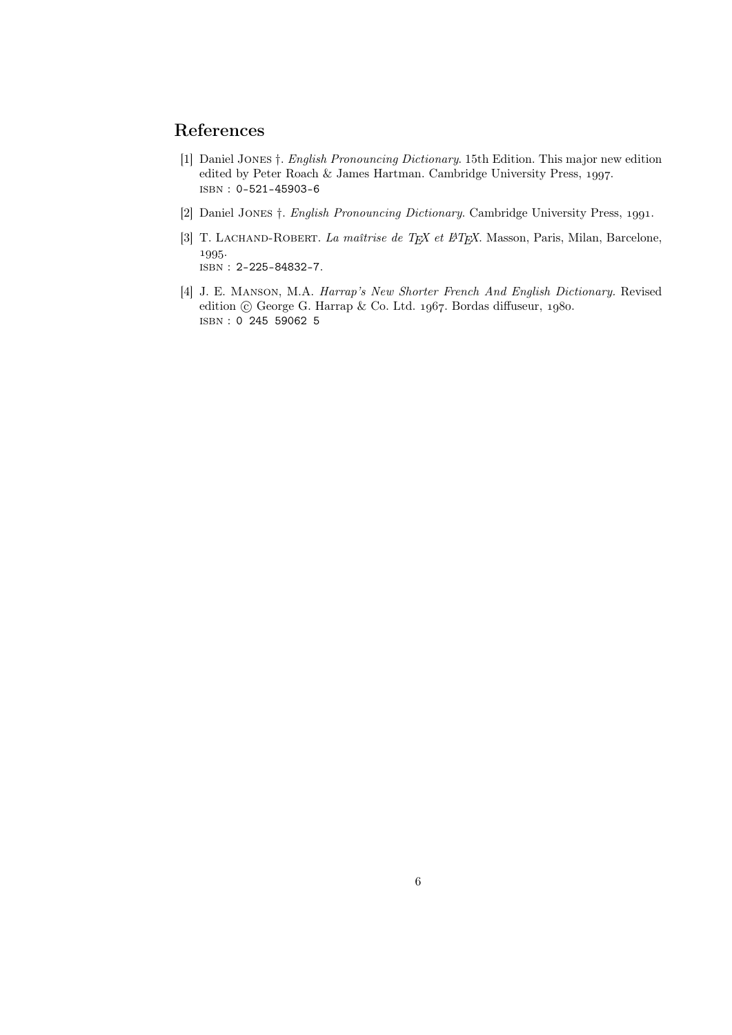# References

- <span id="page-5-3"></span><span id="page-5-2"></span>[1] Daniel Jones †. English Pronouncing Dictionary. 15th Edition. This major new edition edited by Peter Roach & James Hartman. Cambridge University Press, 1997. isbn : 0-521-45903-6
- [2] Daniel JONES  $\dagger$ . *English Pronouncing Dictionary*. Cambridge University Press, 1991.
- <span id="page-5-0"></span>[3] T. LACHAND-ROBERT. La maîtrise de TEX et L<sup>AT</sup>EX. Masson, Paris, Milan, Barcelone, 1995. isbn : 2-225-84832-7.
- <span id="page-5-1"></span>[4] J. E. Manson, M.A. Harrap's New Shorter French And English Dictionary. Revised edition  $\odot$  George G. Harrap & Co. Ltd. 1967. Bordas diffuseur, 1980. isbn : 0 245 59062 5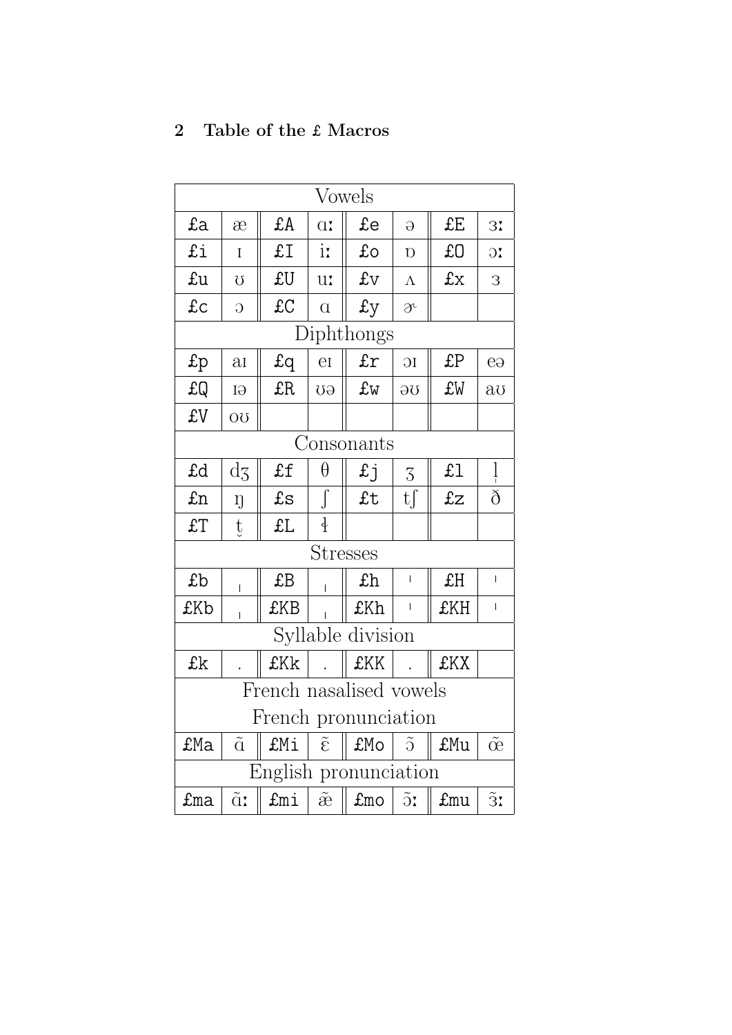# <span id="page-6-0"></span>2 Table of the £ Macros

| <b>Vowels</b>           |                    |             |                                        |                                      |                                                                                                                                                                                                                                                                                                                                                                                                                |     |                         |  |  |  |  |
|-------------------------|--------------------|-------------|----------------------------------------|--------------------------------------|----------------------------------------------------------------------------------------------------------------------------------------------------------------------------------------------------------------------------------------------------------------------------------------------------------------------------------------------------------------------------------------------------------------|-----|-------------------------|--|--|--|--|
| £a                      | æ                  | £A          | $\alpha$ .                             | £e                                   | $\Theta$                                                                                                                                                                                                                                                                                                                                                                                                       | £E  | 3 <sup>7</sup>          |  |  |  |  |
| £i                      | I                  | £I          | $i\mathbf{r}$                          | £o                                   | $\overline{D}$                                                                                                                                                                                                                                                                                                                                                                                                 | £O  | $\overline{\mathrm{C}}$ |  |  |  |  |
| £u                      | U                  | £U          | u:                                     | £v                                   | $\Lambda$                                                                                                                                                                                                                                                                                                                                                                                                      | £x  | 3                       |  |  |  |  |
| £c                      | $\overline{O}$     | £C          | $\alpha$                               | £у                                   | $\overline{\partial}^{\iota}$                                                                                                                                                                                                                                                                                                                                                                                  |     |                         |  |  |  |  |
| Diphthongs              |                    |             |                                        |                                      |                                                                                                                                                                                                                                                                                                                                                                                                                |     |                         |  |  |  |  |
| $\text{fp}$             | $\overline{\rm a}$ | $f_{q}$     | $\overline{\rm eI}$                    | £r                                   | 1C                                                                                                                                                                                                                                                                                                                                                                                                             | £P  | $e\Theta$               |  |  |  |  |
| £Q                      | GI                 | £R          | <b>GU</b>                              | £w                                   | ΟG                                                                                                                                                                                                                                                                                                                                                                                                             | £W  | $a\sigma$               |  |  |  |  |
| £V                      | ΟU                 |             |                                        |                                      |                                                                                                                                                                                                                                                                                                                                                                                                                |     |                         |  |  |  |  |
| Consonants              |                    |             |                                        |                                      |                                                                                                                                                                                                                                                                                                                                                                                                                |     |                         |  |  |  |  |
| £d                      | $\mathrm{d}z$      | £f          | θ                                      | £j                                   | 3                                                                                                                                                                                                                                                                                                                                                                                                              | f1  | $\frac{1}{1}$           |  |  |  |  |
| £n                      | ŋ                  | $f_{\rm S}$ | $\int$                                 | £t                                   | $\mathrm{tf}$                                                                                                                                                                                                                                                                                                                                                                                                  | £z  | $\delta$                |  |  |  |  |
| £T                      | $\mathrm{t}$       | £L          | $\frac{1}{2}$                          |                                      |                                                                                                                                                                                                                                                                                                                                                                                                                |     |                         |  |  |  |  |
| <b>Stresses</b>         |                    |             |                                        |                                      |                                                                                                                                                                                                                                                                                                                                                                                                                |     |                         |  |  |  |  |
| £b                      | L                  | £B          |                                        | £h                                   | $\overline{\phantom{a}}$                                                                                                                                                                                                                                                                                                                                                                                       | £H  | $\overline{1}$          |  |  |  |  |
| £Kb                     | Ĺ                  | £KB         |                                        | £Kh                                  | $\begin{array}{c} \rule{0pt}{2ex} \rule{0pt}{2ex} \rule{0pt}{2ex} \rule{0pt}{2ex} \rule{0pt}{2ex} \rule{0pt}{2ex} \rule{0pt}{2ex} \rule{0pt}{2ex} \rule{0pt}{2ex} \rule{0pt}{2ex} \rule{0pt}{2ex} \rule{0pt}{2ex} \rule{0pt}{2ex} \rule{0pt}{2ex} \rule{0pt}{2ex} \rule{0pt}{2ex} \rule{0pt}{2ex} \rule{0pt}{2ex} \rule{0pt}{2ex} \rule{0pt}{2ex} \rule{0pt}{2ex} \rule{0pt}{2ex} \rule{0pt}{2ex} \rule{0pt}{$ | £KH | $\overline{1}$          |  |  |  |  |
| Syllable division       |                    |             |                                        |                                      |                                                                                                                                                                                                                                                                                                                                                                                                                |     |                         |  |  |  |  |
| £k                      |                    | £Kk         |                                        | £KK                                  |                                                                                                                                                                                                                                                                                                                                                                                                                | £KX |                         |  |  |  |  |
| French nasalised vowels |                    |             |                                        |                                      |                                                                                                                                                                                                                                                                                                                                                                                                                |     |                         |  |  |  |  |
| French pronunciation    |                    |             |                                        |                                      |                                                                                                                                                                                                                                                                                                                                                                                                                |     |                         |  |  |  |  |
| £Ma                     | $\tilde{\alpha}$   | £Mi         | $\tilde{\epsilon}$                     | £Mo                                  | $\tilde{O}$                                                                                                                                                                                                                                                                                                                                                                                                    | £Mu | $\tilde{\alpha}$        |  |  |  |  |
| English pronunciation   |                    |             |                                        |                                      |                                                                                                                                                                                                                                                                                                                                                                                                                |     |                         |  |  |  |  |
| £ma                     | $\tilde{\alpha}$   | £mi         | $\tilde{\mathop{\mathrm{e}}\nolimits}$ | $\texttt{fmo}$   $\tilde{\text{or}}$ |                                                                                                                                                                                                                                                                                                                                                                                                                | £mu | $\tilde{3}$ :           |  |  |  |  |